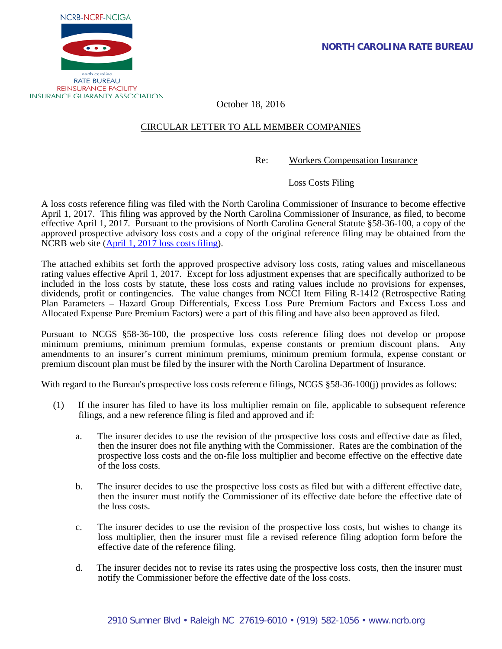



October 18, 2016

# CIRCULAR LETTER TO ALL MEMBER COMPANIES

Re: Workers Compensation Insurance

Loss Costs Filing

A loss costs reference filing was filed with the North Carolina Commissioner of Insurance to become effective April 1, 2017. This filing was approved by the North Carolina Commissioner of Insurance, as filed, to become effective April 1, 2017. Pursuant to the provisions of North Carolina General Statute §58-36-100, a copy of the approved prospective advisory loss costs and a copy of the original reference filing may be obtained from the NCRB web site (April 1, 2017 [loss costs filing\)](http://www.ncrb.org/ncrb/WorkersCompensation/Carrier/LossCostsandAssignedRiskRates/tabid/124/Default.aspx).

The attached exhibits set forth the approved prospective advisory loss costs, rating values and miscellaneous rating values effective April 1, 2017. Except for loss adjustment expenses that are specifically authorized to be included in the loss costs by statute, these loss costs and rating values include no provisions for expenses, dividends, profit or contingencies. The value changes from NCCI Item Filing R-1412 (Retrospective Rating Plan Parameters – Hazard Group Differentials, Excess Loss Pure Premium Factors and Excess Loss and Allocated Expense Pure Premium Factors) were a part of this filing and have also been approved as filed.

Pursuant to NCGS §58-36-100, the prospective loss costs reference filing does not develop or propose minimum premiums, minimum premium formulas, expense constants or premium discount plans. Any amendments to an insurer's current minimum premiums, minimum premium formula, expense constant or premium discount plan must be filed by the insurer with the North Carolina Department of Insurance.

With regard to the Bureau's prospective loss costs reference filings, NCGS §58-36-100(j) provides as follows:

- (1) If the insurer has filed to have its loss multiplier remain on file, applicable to subsequent reference filings, and a new reference filing is filed and approved and if:
	- a. The insurer decides to use the revision of the prospective loss costs and effective date as filed, then the insurer does not file anything with the Commissioner. Rates are the combination of the prospective loss costs and the on-file loss multiplier and become effective on the effective date of the loss costs.
	- b. The insurer decides to use the prospective loss costs as filed but with a different effective date, then the insurer must notify the Commissioner of its effective date before the effective date of the loss costs.
	- c. The insurer decides to use the revision of the prospective loss costs, but wishes to change its loss multiplier, then the insurer must file a revised reference filing adoption form before the effective date of the reference filing.
	- d. The insurer decides not to revise its rates using the prospective loss costs, then the insurer must notify the Commissioner before the effective date of the loss costs.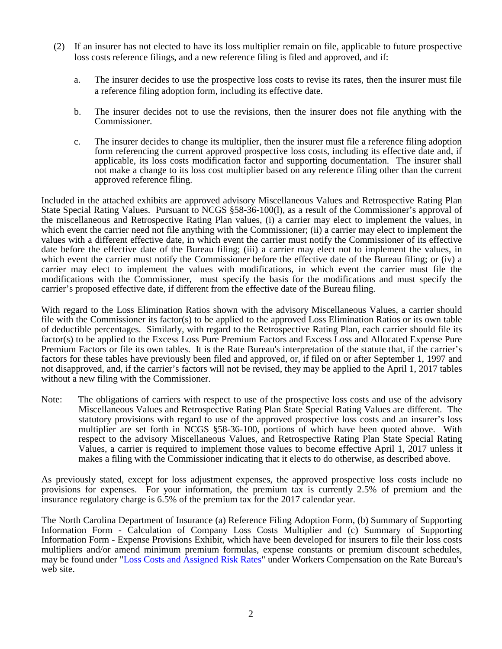- (2) If an insurer has not elected to have its loss multiplier remain on file, applicable to future prospective loss costs reference filings, and a new reference filing is filed and approved, and if:
	- a. The insurer decides to use the prospective loss costs to revise its rates, then the insurer must file a reference filing adoption form, including its effective date.
	- b. The insurer decides not to use the revisions, then the insurer does not file anything with the Commissioner.
	- c. The insurer decides to change its multiplier, then the insurer must file a reference filing adoption form referencing the current approved prospective loss costs, including its effective date and, if applicable, its loss costs modification factor and supporting documentation. The insurer shall not make a change to its loss cost multiplier based on any reference filing other than the current approved reference filing.

Included in the attached exhibits are approved advisory Miscellaneous Values and Retrospective Rating Plan State Special Rating Values. Pursuant to NCGS §58-36-100(1), as a result of the Commissioner's approval of the miscellaneous and Retrospective Rating Plan values, (i) a carrier may elect to implement the values, in which event the carrier need not file anything with the Commissioner; (ii) a carrier may elect to implement the values with a different effective date, in which event the carrier must notify the Commissioner of its effective date before the effective date of the Bureau filing; (iii) a carrier may elect not to implement the values, in which event the carrier must notify the Commissioner before the effective date of the Bureau filing; or (iv) a carrier may elect to implement the values with modifications, in which event the carrier must file the modifications with the Commissioner, must specify the basis for the modifications and must specify the carrier's proposed effective date, if different from the effective date of the Bureau filing.

With regard to the Loss Elimination Ratios shown with the advisory Miscellaneous Values, a carrier should file with the Commissioner its factor(s) to be applied to the approved Loss Elimination Ratios or its own table of deductible percentages. Similarly, with regard to the Retrospective Rating Plan, each carrier should file its factor(s) to be applied to the Excess Loss Pure Premium Factors and Excess Loss and Allocated Expense Pure Premium Factors or file its own tables. It is the Rate Bureau's interpretation of the statute that, if the carrier's factors for these tables have previously been filed and approved, or, if filed on or after September 1, 1997 and not disapproved, and, if the carrier's factors will not be revised, they may be applied to the April 1, 2017 tables without a new filing with the Commissioner.

Note: The obligations of carriers with respect to use of the prospective loss costs and use of the advisory Miscellaneous Values and Retrospective Rating Plan State Special Rating Values are different. The statutory provisions with regard to use of the approved prospective loss costs and an insurer's loss multiplier are set forth in NCGS §58-36-100, portions of which have been quoted above. With respect to the advisory Miscellaneous Values, and Retrospective Rating Plan State Special Rating Values, a carrier is required to implement those values to become effective April 1, 2017 unless it makes a filing with the Commissioner indicating that it elects to do otherwise, as described above.

As previously stated, except for loss adjustment expenses, the approved prospective loss costs include no provisions for expenses. For your information, the premium tax is currently 2.5% of premium and the insurance regulatory charge is 6.5% of the premium tax for the 2017 calendar year.

The North Carolina Department of Insurance (a) Reference Filing Adoption Form, (b) Summary of Supporting Information Form - Calculation of Company Loss Costs Multiplier and (c) Summary of Supporting Information Form - Expense Provisions Exhibit, which have been developed for insurers to file their loss costs multipliers and/or amend minimum premium formulas, expense constants or premium discount schedules, may be found under ["Loss Costs and Assigned Risk Rates"](http://www.ncrb.org/ncrb/WorkersCompensation/Carrier/LossCostsandAssignedRiskRates/tabid/124/Default.aspx) under Workers Compensation on the Rate Bureau's web site.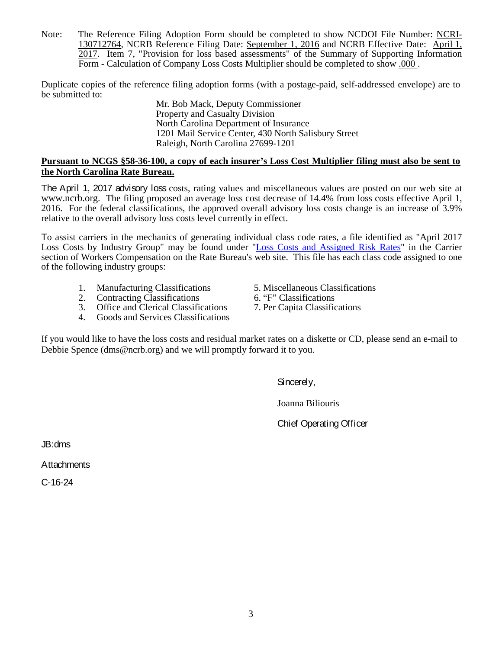Note: The Reference Filing Adoption Form should be completed to show NCDOI File Number: NCRI-130712764, NCRB Reference Filing Date: September 1, 2016 and NCRB Effective Date: April 1, 2017. Item 7, "Provision for loss based assessments" of the Summary of Supporting Information Form - Calculation of Company Loss Costs Multiplier should be completed to show .000 .

Duplicate copies of the reference filing adoption forms (with a postage-paid, self-addressed envelope) are to be submitted to:

Mr. Bob Mack, Deputy Commissioner Property and Casualty Division North Carolina Department of Insurance 1201 Mail Service Center, 430 North Salisbury Street Raleigh, North Carolina 27699-1201

# **Pursuant to NCGS §58-36-100, a copy of each insurer's Loss Cost Multiplier filing must also be sent to the North Carolina Rate Bureau.**

The April 1, 2017 advisory loss costs, rating values and miscellaneous values are posted on our web site at [www.ncrb.org.](http://www.ncrb.org/) The filing proposed an average loss cost decrease of 14.4% from loss costs effective April 1, 2016. For the federal classifications, the approved overall advisory loss costs change is an increase of 3.9% relative to the overall advisory loss costs level currently in effect.

To assist carriers in the mechanics of generating individual class code rates, a file identified as "April 2017 Loss Costs by Industry Group" may be found under ["Loss Costs and Assigned Risk Rates"](http://www.ncrb.org/ncrb/WorkersCompensation/Carrier/LossCostsandAssignedRiskRates/tabid/124/Default.aspx) in the Carrier section of Workers Compensation on the Rate Bureau's web site. This file has each class code assigned to one of the following industry groups:

- 1. Manufacturing Classifications 5. Miscellaneous Classifications<br>
2. Contracting Classifications 6. "F" Classifications
- 
- 2. Contracting Classifications 6. "F" Classifications<br>3. Office and Clerical Classifications 7. Per Capita Classifications Office and Clerical Classifications
- 4. Goods and Services Classifications
- 
- 
- 

If you would like to have the loss costs and residual market rates on a diskette or CD, please send an e-mail to Debbie Spence (dms@ncrb.org) and we will promptly forward it to you.

Sincerely,

Joanna Biliouris

Chief Operating Officer

JB:dms

**Attachments** 

C-16-24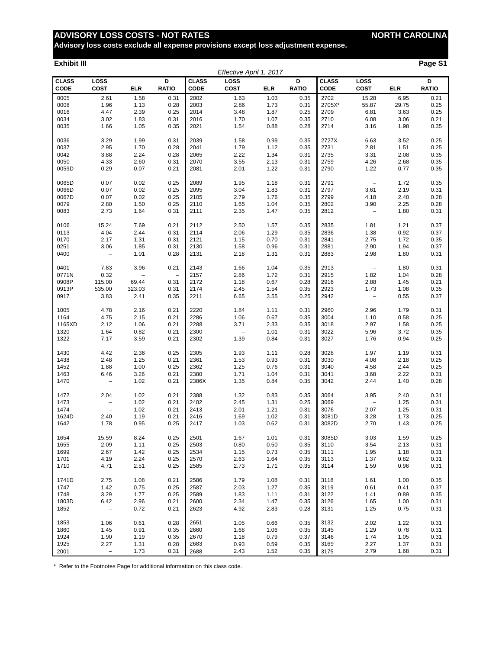**Advisory loss costs exclude all expense provisions except loss adjustment expense.**

#### **Exhibit III Page S1**

|                             |                          |                          |                          |                             | Effective April 1, 2017  |            |                   |                             |                                   |            |                   |
|-----------------------------|--------------------------|--------------------------|--------------------------|-----------------------------|--------------------------|------------|-------------------|-----------------------------|-----------------------------------|------------|-------------------|
| <b>CLASS</b><br><b>CODE</b> | LOSS<br><b>COST</b>      | <b>ELR</b>               | D<br><b>RATIO</b>        | <b>CLASS</b><br><b>CODE</b> | LOSS<br><b>COST</b>      | <b>ELR</b> | D<br><b>RATIO</b> | <b>CLASS</b><br><b>CODE</b> | LOSS<br>COST                      | <b>ELR</b> | D<br><b>RATIO</b> |
| 0005                        | 2.61                     | 1.58                     | 0.31                     | 2002                        | 1.63                     | 1.03       | 0.35              | 2702                        | 15.28                             | 6.95       | 0.21              |
| 0008                        | 1.96                     | 1.13                     | 0.28                     | 2003                        | 2.86                     | 1.73       | 0.31              | 2705X*                      | 55.87                             | 29.75      | 0.25              |
| 0016                        | 4.47                     | 2.39                     | 0.25                     | 2014                        | 3.48                     | 1.87       | 0.25              | 2709                        | 6.81                              | 3.63       | 0.25              |
| 0034                        | 3.02                     | 1.83                     | 0.31                     | 2016                        | 1.70                     | 1.07       | 0.35              | 2710                        | 6.08                              | 3.06       | 0.21              |
| 0035                        | 1.66                     | 1.05                     | 0.35                     | 2021                        | 1.54                     | 0.88       | 0.28              | 2714                        | 3.16                              | 1.98       | 0.35              |
|                             |                          |                          |                          |                             |                          |            |                   |                             |                                   |            |                   |
| 0036                        | 3.29                     | 1.99                     | 0.31                     | 2039                        | 1.58                     | 0.99       | 0.35              | 2727X                       | 6.63                              | 3.52       | 0.25              |
| 0037                        | 2.95                     | 1.70                     | 0.28                     | 2041                        | 1.79                     | 1.12       | 0.35              | 2731                        | 2.81                              | 1.51       | 0.25              |
| 0042                        | 3.88                     | 2.24                     | 0.28                     | 2065                        | 2.22                     | 1.34       | 0.31              | 2735                        | 3.31                              | 2.08       | 0.35              |
| 0050                        | 4.33                     | 2.60                     | 0.31                     | 2070                        | 3.55                     | 2.13       | 0.31              | 2759                        | 4.26                              | 2.68       | 0.35              |
| 0059D                       | 0.29                     | 0.07                     | 0.21                     | 2081                        | 2.01                     | 1.22       | 0.31              | 2790                        | 1.22                              | 0.77       | 0.35              |
|                             |                          |                          |                          |                             |                          |            |                   |                             |                                   |            |                   |
| 0065D                       | 0.07                     | 0.02                     | 0.25                     | 2089                        | 1.95                     | 1.18       | 0.31              | 2791                        | $\overline{\phantom{a}}$          | 1.72       | 0.35              |
| 0066D                       | 0.07                     | 0.02                     | 0.25                     | 2095                        | 3.04                     | 1.83       | 0.31              | 2797                        | 3.61                              | 2.19       | 0.31              |
| 0067D                       | 0.07                     | 0.02                     | 0.25                     | 2105                        | 2.79                     | 1.76       | 0.35              | 2799                        | 4.18                              | 2.40       | 0.28              |
| 0079                        | 2.80                     | 1.50                     | 0.25                     | 2110                        | 1.65                     | 1.04       | 0.35              | 2802                        | 3.90                              | 2.25       | 0.28              |
| 0083                        | 2.73                     | 1.64                     | 0.31                     | 2111                        | 2.35                     | 1.47       | 0.35              | 2812                        | $\qquad \qquad -$                 | 1.80       | 0.31              |
| 0106                        | 15.24                    | 7.69                     | 0.21                     | 2112                        | 2.50                     | 1.57       | 0.35              | 2835                        | 1.81                              | 1.21       | 0.37              |
| 0113                        | 4.04                     | 2.44                     | 0.31                     | 2114                        | 2.06                     | 1.29       | 0.35              | 2836                        | 1.38                              | 0.92       | 0.37              |
| 0170                        | 2.17                     | 1.31                     | 0.31                     | 2121                        | 1.15                     | 0.70       | 0.31              | 2841                        | 2.75                              | 1.72       | 0.35              |
| 0251                        | 3.06                     | 1.85                     | 0.31                     | 2130                        | 1.58                     | 0.96       | 0.31              | 2881                        | 2.90                              | 1.94       | 0.37              |
| 0400                        | $\qquad \qquad -$        | 1.01                     | 0.28                     | 2131                        | 2.18                     | 1.31       | 0.31              | 2883                        | 2.98                              | 1.80       | 0.31              |
|                             |                          |                          |                          |                             |                          |            |                   |                             |                                   |            |                   |
| 0401                        | 7.83                     | 3.96                     | 0.21                     | 2143                        | 1.66                     | 1.04       | 0.35              | 2913                        | $\overline{\phantom{a}}$          | 1.80       | 0.31              |
| 0771N                       | 0.32                     | $\overline{\phantom{0}}$ | $\overline{\phantom{0}}$ | 2157                        | 2.86                     | 1.72       | 0.31              | 2915                        | 1.82                              | 1.04       | 0.28              |
| 0908P                       | 115.00                   | 69.44                    | 0.31                     | 2172                        | 1.18                     | 0.67       | 0.28              | 2916                        | 2.88                              | 1.45       | 0.21              |
| 0913P                       | 535.00                   | 323.03                   | 0.31                     | 2174                        | 2.45                     | 1.54       | 0.35              | 2923                        | 1.73                              | 1.08       | 0.35              |
| 0917                        | 3.83                     | 2.41                     | 0.35                     | 2211                        | 6.65                     | 3.55       | 0.25              | 2942                        | $\overline{\phantom{a}}$          | 0.55       | 0.37              |
| 1005                        | 4.78                     | 2.16                     | 0.21                     | 2220                        | 1.84                     | 1.11       | 0.31              | 2960                        | 2.96                              | 1.79       | 0.31              |
| 1164                        | 4.75                     | 2.15                     | 0.21                     | 2286                        | 1.06                     | 0.67       | 0.35              | 3004                        | 1.10                              | 0.58       | 0.25              |
| 1165XD                      | 2.12                     | 1.06                     | 0.21                     | 2288                        | 3.71                     | 2.33       | 0.35              | 3018                        | 2.97                              | 1.58       | 0.25              |
| 1320                        | 1.64                     | 0.82                     | 0.21                     | 2300                        | $\overline{\phantom{a}}$ | 1.01       | 0.31              | 3022                        | 5.96                              | 3.72       | 0.35              |
| 1322                        | 7.17                     | 3.59                     | 0.21                     | 2302                        | 1.39                     | 0.84       | 0.31              | 3027                        | 1.76                              | 0.94       | 0.25              |
| 1430                        | 4.42                     | 2.36                     | 0.25                     | 2305                        | 1.93                     | 1.11       | 0.28              | 3028                        | 1.97                              | 1.19       | 0.31              |
| 1438                        | 2.48                     | 1.25                     | 0.21                     | 2361                        | 1.53                     | 0.93       | 0.31              | 3030                        | 4.08                              | 2.18       | 0.25              |
| 1452                        | 1.88                     | 1.00                     | 0.25                     | 2362                        | 1.25                     | 0.76       | 0.31              | 3040                        | 4.58                              | 2.44       | 0.25              |
| 1463                        | 6.46                     | 3.26                     | 0.21                     | 2380                        | 1.71                     | 1.04       | 0.31              | 3041                        | 3.68                              | 2.22       | 0.31              |
| 1470                        | $\qquad \qquad -$        |                          | 0.21                     | 2386X                       | 1.35                     | 0.84       | 0.35              | 3042                        | 2.44                              | 1.40       |                   |
|                             |                          | 1.02                     |                          |                             |                          |            |                   |                             |                                   |            | 0.28              |
| 1472                        | 2.04                     | 1.02                     | 0.21                     | 2388                        | 1.32                     | 0.83       | 0.35              | 3064                        | 3.95                              | 2.40       | 0.31              |
| 1473                        | $\overline{\phantom{m}}$ | 1.02                     | 0.21                     | 2402                        | 2.45                     | 1.31       | 0.25              | 3069                        | $\hspace{0.1in} - \hspace{0.1in}$ | 1.25       | 0.31              |
| 1474                        | $\overline{\phantom{a}}$ | 1.02                     | 0.21                     | 2413                        | 2.01                     | 1.21       | 0.31              | 3076                        | 2.07                              | 1.25       | 0.31              |
| 1624D                       | 2.40                     | 1.19                     | 0.21                     | 2416                        | 1.69                     | 1.02       | 0.31              | 3081D                       | 3.28                              | 1.73       | 0.25              |
| 1642                        | 1.78                     | 0.95                     | 0.25                     | 2417                        | 1.03                     | 0.62       | 0.31              | 3082D                       | 2.70                              | 1.43       | 0.25              |
| 1654                        | 15.59                    | 8.24                     | 0.25                     | 2501                        | 1.67                     | 1.01       | 0.31              | 3085D                       | 3.03                              | 1.59       | 0.25              |
| 1655                        | 2.09                     | 1.11                     | 0.25                     | 2503                        | 0.80                     | 0.50       | 0.35              | 3110                        | 3.54                              | 2.13       | 0.31              |
| 1699                        | 2.67                     | 1.42                     | 0.25                     | 2534                        | 1.15                     | 0.73       | 0.35              | 3111                        | 1.95                              | 1.18       | 0.31              |
| 1701                        | 4.19                     | 2.24                     | 0.25                     | 2570                        | 2.63                     | 1.64       | 0.35              | 3113                        | 1.37                              | 0.82       | 0.31              |
| 1710                        | 4.71                     | 2.51                     | 0.25                     | 2585                        | 2.73                     | 1.71       | 0.35              | 3114                        | 1.59                              | 0.96       | 0.31              |
|                             |                          |                          |                          |                             |                          |            |                   |                             |                                   |            |                   |
| 1741D                       | 2.75                     | 1.08                     | 0.21                     | 2586                        | 1.79                     | 1.08       | 0.31              | 3118                        | 1.61                              | 1.00       | 0.35              |
| 1747                        | 1.42                     | 0.75                     | 0.25                     | 2587                        | 2.03                     | 1.27       | 0.35              | 3119                        | 0.61                              | 0.41       | 0.37              |
| 1748                        | 3.29                     | 1.77                     | 0.25                     | 2589                        | 1.83                     | 1.11       | 0.31              | 3122                        | 1.41                              | 0.89       | 0.35              |
| 1803D                       | 6.42                     | 2.96                     | 0.21                     | 2600                        | 2.34                     | 1.47       | 0.35              | 3126                        | 1.65                              | 1.00       | 0.31              |
| 1852                        | $\overline{\phantom{m}}$ | 0.72                     | 0.21                     | 2623                        | 4.92                     | 2.83       | 0.28              | 3131                        | 1.25                              | 0.75       | 0.31              |
| 1853                        | 1.06                     | 0.61                     | 0.28                     | 2651                        | 1.05                     | 0.66       | 0.35              | 3132                        | 2.02                              | 1.22       | 0.31              |
| 1860                        | 1.45                     | 0.91                     | 0.35                     | 2660                        | 1.68                     | 1.06       | 0.35              | 3145                        | 1.29                              | 0.78       | 0.31              |
| 1924                        | 1.90                     | 1.19                     | 0.35                     | 2670                        | 1.18                     | 0.79       | 0.37              | 3146                        | 1.74                              | 1.05       | 0.31              |
| 1925                        | 2.27                     | 1.31                     | 0.28                     | 2683                        | 0.93                     | 0.59       | 0.35              | 3169                        | 2.27                              | 1.37       | 0.31              |
| 2001                        | $\overline{\phantom{a}}$ | 1.73                     | 0.31                     | 2688                        | 2.43                     | 1.52       | 0.35              | 3175                        | 2.79                              | 1.68       | 0.31              |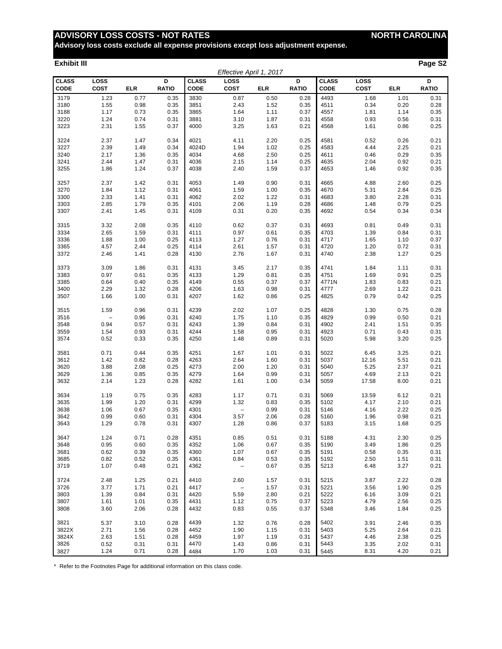**Advisory loss costs exclude all expense provisions except loss adjustment expense.**

#### **Exhibit III Page S2**

|                             |              |              |                   |                             | Effective April 1, 2017 |              |                   |                      |              |              |                   |
|-----------------------------|--------------|--------------|-------------------|-----------------------------|-------------------------|--------------|-------------------|----------------------|--------------|--------------|-------------------|
| <b>CLASS</b><br><b>CODE</b> | LOSS<br>COST | <b>ELR</b>   | D<br><b>RATIO</b> | <b>CLASS</b><br><b>CODE</b> | LOSS<br><b>COST</b>     | <b>ELR</b>   | D<br><b>RATIO</b> | <b>CLASS</b><br>CODE | LOSS<br>COST | <b>ELR</b>   | D<br><b>RATIO</b> |
| 3179                        | 1.23         | 0.77         | 0.35              | 3830                        | 0.87                    | 0.50         | 0.28              | 4493                 | 1.68         | 1.01         | 0.31              |
| 3180                        | 1.55         | 0.98         | 0.35              | 3851                        | 2.43                    | 1.52         | 0.35              | 4511                 | 0.34         | 0.20         | 0.28              |
| 3188                        | 1.17         | 0.73         | 0.35              | 3865                        | 1.64                    | 1.11         | 0.37              | 4557                 | 1.81         | 1.14         | 0.35              |
| 3220                        | 1.24         | 0.74         | 0.31              | 3881                        | 3.10                    | 1.87         | 0.31              | 4558                 | 0.93         | 0.56         | 0.31              |
| 3223                        | 2.31         | 1.55         | 0.37              | 4000                        | 3.25                    | 1.63         | 0.21              | 4568                 | 1.61         | 0.86         | 0.25              |
| 3224                        | 2.37         | 1.47         | 0.34              | 4021                        | 4.11                    | 2.20         | 0.25              | 4581                 | 0.52         | 0.26         | 0.21              |
| 3227                        | 2.39         | 1.49         | 0.34              | 4024D                       | 1.94                    | 1.02         | 0.25              | 4583                 | 4.44         | 2.25         | 0.21              |
| 3240                        | 2.17         | 1.36         | 0.35              | 4034                        | 4.68                    | 2.50         | 0.25              | 4611                 | 0.46         | 0.29         | 0.35              |
| 3241                        | 2.44         | 1.47         | 0.31              | 4036                        | 2.15                    | 1.14         | 0.25              | 4635                 | 2.04         | 0.92         | 0.21              |
| 3255                        | 1.86         | 1.24         | 0.37              | 4038                        | 2.40                    | 1.59         | 0.37              | 4653                 | 1.46         | 0.92         | 0.35              |
| 3257                        | 2.37         | 1.42         | 0.31              | 4053                        | 1.49                    | 0.90         | 0.31              | 4665                 | 4.88         | 2.60         | 0.25              |
| 3270                        | 1.84         | 1.12         | 0.31              | 4061                        | 1.59                    | 1.00         | 0.35              | 4670                 | 5.31         | 2.84         | 0.25              |
| 3300                        | 2.33         | 1.41         | 0.31              | 4062                        | 2.02                    | 1.22         | 0.31              | 4683                 | 3.80         | 2.28         | 0.31              |
| 3303                        | 2.85         | 1.79         | 0.35              | 4101                        | 2.06                    | 1.19         | 0.28              | 4686                 | 1.48         | 0.79         | 0.25              |
| 3307                        | 2.41         | 1.45         | 0.31              | 4109                        | 0.31                    | 0.20         | 0.35              | 4692                 | 0.54         | 0.34         | 0.34              |
| 3315                        | 3.32         | 2.08         | 0.35              | 4110                        | 0.62                    | 0.37         | 0.31              | 4693                 | 0.81         | 0.49         | 0.31              |
| 3334                        | 2.65         | 1.59         | 0.31              | 4111                        | 0.97                    | 0.61         | 0.35              | 4703                 | 1.39         | 0.84         | 0.31              |
| 3336                        | 1.88         | 1.00         | 0.25              | 4113                        | 1.27                    | 0.76         | 0.31              | 4717                 | 1.65         | 1.10         | 0.37              |
| 3365                        | 4.57         | 2.44         | 0.25              | 4114                        | 2.61                    | 1.57         | 0.31              | 4720                 | 1.20         | 0.72         | 0.31              |
| 3372                        | 2.46         | 1.41         | 0.28              | 4130                        | 2.76                    | 1.67         | 0.31              | 4740                 | 2.38         | 1.27         | 0.25              |
| 3373                        | 3.09         | 1.86         | 0.31              | 4131                        | 3.45                    | 2.17         | 0.35              | 4741                 | 1.84         | 1.11         | 0.31              |
| 3383                        | 0.97         | 0.61         | 0.35              | 4133                        | 1.29                    | 0.81         | 0.35              | 4751                 | 1.69         | 0.91         | 0.25              |
| 3385                        | 0.64         | 0.40         | 0.35              | 4149                        | 0.55                    | 0.37         | 0.37              | 4771N                | 1.83         | 0.83         | 0.21              |
| 3400                        | 2.29         | 1.32         | 0.28              | 4206                        | 1.63                    | 0.98         | 0.31              | 4777                 | 2.69         | 1.22         | 0.21              |
| 3507                        | 1.66         | 1.00         | 0.31              | 4207                        | 1.62                    | 0.86         | 0.25              | 4825                 | 0.79         | 0.42         | 0.25              |
|                             |              |              |                   |                             |                         |              |                   |                      |              |              |                   |
| 3515<br>3516                | 1.59         | 0.96<br>0.96 | 0.31<br>0.31      | 4239<br>4240                | 2.02                    | 1.07<br>1.10 | 0.25<br>0.35      | 4828<br>4829         | 1.30<br>0.99 | 0.75         | 0.28              |
| 3548                        | 0.94         | 0.57         | 0.31              | 4243                        | 1.75<br>1.39            | 0.84         | 0.31              | 4902                 | 2.41         | 0.50<br>1.51 | 0.21<br>0.35      |
| 3559                        | 1.54         | 0.93         | 0.31              | 4244                        | 1.58                    | 0.95         | 0.31              | 4923                 | 0.71         | 0.43         | 0.31              |
| 3574                        | 0.52         | 0.33         | 0.35              | 4250                        | 1.48                    | 0.89         | 0.31              | 5020                 | 5.98         | 3.20         | 0.25              |
|                             |              |              |                   |                             |                         |              |                   |                      |              |              |                   |
| 3581                        | 0.71         | 0.44         | 0.35              | 4251                        | 1.67                    | 1.01         | 0.31              | 5022                 | 6.45         | 3.25         | 0.21              |
| 3612                        | 1.42         | 0.82         | 0.28              | 4263                        | 2.64                    | 1.60         | 0.31              | 5037                 | 12.16        | 5.51         | 0.21              |
| 3620<br>3629                | 3.88<br>1.36 | 2.08<br>0.85 | 0.25<br>0.35      | 4273<br>4279                | 2.00<br>1.64            | 1.20<br>0.99 | 0.31<br>0.31      | 5040<br>5057         | 5.25<br>4.69 | 2.37<br>2.13 | 0.21<br>0.21      |
| 3632                        | 2.14         | 1.23         | 0.28              | 4282                        | 1.61                    | 1.00         | 0.34              | 5059                 | 17.58        | 8.00         | 0.21              |
|                             |              |              |                   |                             |                         |              |                   |                      |              |              |                   |
| 3634                        | 1.19         | 0.75         | 0.35              | 4283                        | 1.17                    | 0.71         | 0.31              | 5069                 | 13.59        | 6.12         | 0.21              |
| 3635                        | 1.99         | 1.20         | 0.31              | 4299                        | 1.32                    | 0.83         | 0.35              | 5102                 | 4.17         | 2.10         | 0.21              |
| 3638                        | 1.06         | 0.67         | 0.35              | 4301                        | $\qquad \qquad -$       | 0.99         | 0.31              | 5146                 | 4.16         | 2.22         | 0.25              |
| 3642                        | 0.99         | 0.60         | 0.31              | 4304                        | 3.57                    | 2.06         | 0.28              | 5160                 | 1.96         | 0.98         | 0.21              |
| 3643                        | 1.29         | 0.78         | 0.31              | 4307                        | 1.28                    | 0.86         | 0.37              | 5183                 | 3.15         | 1.68         | 0.25              |
| 3647                        | 1.24         | 0.71         | 0.28              | 4351                        | 0.85                    | 0.51         | 0.31              | 5188                 | 4.31         | 2.30         | 0.25              |
| 3648                        | 0.95         | 0.60         | 0.35              | 4352                        | 1.06                    | 0.67         | 0.35              | 5190                 | 3.49         | 1.86         | 0.25              |
| 3681                        | 0.62         | 0.39         | 0.35              | 4360                        | 1.07                    | 0.67         | 0.35              | 5191                 | 0.58         | 0.35         | 0.31              |
| 3685                        | 0.82         | 0.52         | 0.35              | 4361                        | 0.84                    | 0.53         | 0.35              | 5192                 | 2.50         | 1.51         | 0.31              |
| 3719                        | 1.07         | 0.48         | 0.21              | 4362                        | $\qquad \qquad -$       | 0.67         | 0.35              | 5213                 | 6.48         | 3.27         | 0.21              |
| 3724                        | 2.48         | 1.25         | 0.21              | 4410                        | 2.60                    | 1.57         | 0.31              | 5215                 | 3.87         | 2.22         | 0.28              |
| 3726                        | 3.77         | 1.71         | 0.21              | 4417                        | $\qquad \qquad -$       | 1.57         | 0.31              | 5221                 | 3.56         | 1.90         | 0.25              |
| 3803                        | 1.39         | 0.84         | 0.31              | 4420                        | 5.59                    | 2.80         | 0.21              | 5222                 | 6.16         | 3.09         | 0.21              |
| 3807                        | 1.61         | 1.01         | 0.35              | 4431                        | 1.12                    | 0.75         | 0.37              | 5223                 | 4.79         | 2.56         | 0.25              |
| 3808                        | 3.60         | 2.06         | 0.28              | 4432                        | 0.83                    | 0.55         | 0.37              | 5348                 | 3.46         | 1.84         | 0.25              |
| 3821                        | 5.37         | 3.10         | 0.28              | 4439                        | 1.32                    | 0.76         | 0.28              | 5402                 | 3.91         | 2.46         | 0.35              |
| 3822X                       | 2.71         | 1.56         | 0.28              | 4452                        | 1.90                    | 1.15         | 0.31              | 5403                 | 5.25         | 2.64         | 0.21              |
| 3824X                       | 2.63         | 1.51         | 0.28              | 4459                        | 1.97                    | 1.19         | 0.31              | 5437                 | 4.46         | 2.38         | 0.25              |
| 3826                        | 0.52         | 0.31         | 0.31              | 4470                        | 1.43                    | 0.86         | 0.31              | 5443                 | 3.35         | 2.02         | 0.31              |
| 3827                        | 1.24         | 0.71         | 0.28              | 4484                        | 1.70                    | 1.03         | 0.31              | 5445                 | 8.31         | 4.20         | 0.21              |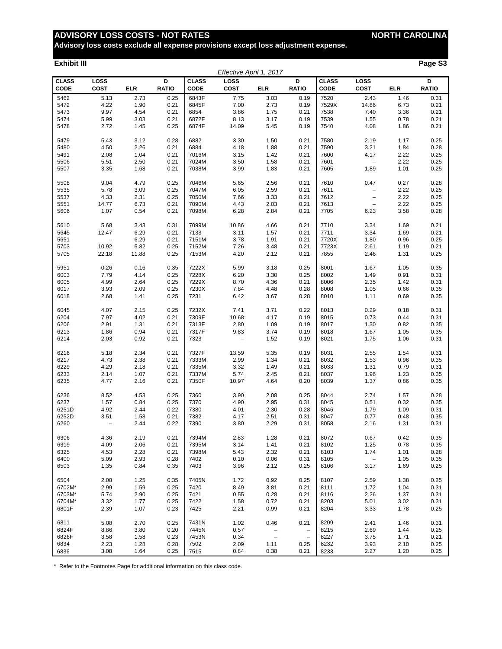**Advisory loss costs exclude all expense provisions except loss adjustment expense.**

#### **Exhibit III Page S3**

|              |                          |            |              |              | Effective April 1, 2017  |                                                      |                          |              |                                 |            |              |
|--------------|--------------------------|------------|--------------|--------------|--------------------------|------------------------------------------------------|--------------------------|--------------|---------------------------------|------------|--------------|
| <b>CLASS</b> | LOSS                     |            | D            | <b>CLASS</b> | LOSS                     |                                                      | D                        | <b>CLASS</b> | LOSS                            |            | D            |
| <b>CODE</b>  | <b>COST</b>              | <b>ELR</b> | <b>RATIO</b> | <b>CODE</b>  | <b>COST</b>              | <b>ELR</b>                                           | <b>RATIO</b>             | <b>CODE</b>  | <b>COST</b>                     | <b>ELR</b> | <b>RATIO</b> |
| 5462         | 5.13                     | 2.73       | 0.25         | 6843F        | 7.75                     | 3.03                                                 | 0.19                     | 7520         | 2.43                            | 1.46       | 0.31         |
| 5472         | 4.22                     | 1.90       | 0.21         | 6845F        | 7.00                     | 2.73                                                 | 0.19                     | 7529X        | 14.86                           | 6.73       | 0.21         |
| 5473         | 9.97                     | 4.54       | 0.21         | 6854         | 3.86                     | 1.75                                                 | 0.21                     | 7538         | 7.40                            | 3.36       | 0.21         |
| 5474         | 5.99                     | 3.03       | 0.21         | 6872F        | 8.13                     | 3.17                                                 | 0.19                     | 7539         | 1.55                            | 0.78       | 0.21         |
| 5478         | 2.72                     | 1.45       | 0.25         | 6874F        | 14.09                    | 5.45                                                 | 0.19                     | 7540         | 4.08                            | 1.86       | 0.21         |
|              |                          |            |              |              |                          |                                                      |                          |              |                                 |            |              |
| 5479         | 5.43                     | 3.12       | 0.28         | 6882         | 3.30                     | 1.50                                                 | 0.21                     | 7580         | 2.19                            | 1.17       | 0.25         |
| 5480         | 4.50                     | 2.26       | 0.21         | 6884         | 4.18                     | 1.88                                                 | 0.21                     | 7590         | 3.21                            | 1.84       | 0.28         |
| 5491         | 2.08                     | 1.04       | 0.21         | 7016M        | 3.15                     | 1.42                                                 | 0.21                     | 7600         | 4.17                            | 2.22       | 0.25         |
| 5506         | 5.51                     | 2.50       | 0.21         | 7024M        | 3.50                     | 1.58                                                 | 0.21                     | 7601         | $\qquad \qquad -$               | 2.22       | 0.25         |
| 5507         | 3.35                     | 1.68       | 0.21         | 7038M        | 3.99                     | 1.83                                                 | 0.21                     | 7605         | 1.89                            | 1.01       | 0.25         |
|              |                          |            |              |              |                          |                                                      |                          |              |                                 |            |              |
| 5508         | 9.04                     | 4.79       | 0.25         | 7046M        | 5.65                     | 2.56                                                 | 0.21                     | 7610         | 0.47                            | 0.27       | 0.28         |
| 5535         | 5.78                     | 3.09       | 0.25         | 7047M        | 6.05                     | 2.59                                                 | 0.21                     | 7611         | $\qquad \qquad -$               | 2.22       | 0.25         |
| 5537         | 4.33                     | 2.31       | 0.25         | 7050M        | 7.66                     | 3.33                                                 | 0.21                     | 7612         | $\qquad \qquad -$               | 2.22       | 0.25         |
| 5551         | 14.77                    | 6.73       | 0.21         | 7090M        | 4.43                     | 2.03                                                 | 0.21                     | 7613         | $\qquad \qquad -$               | 2.22       | 0.25         |
| 5606         | 1.07                     | 0.54       | 0.21         | 7098M        | 6.28                     | 2.84                                                 | 0.21                     | 7705         | 6.23                            | 3.58       | 0.28         |
|              |                          |            |              |              |                          |                                                      |                          |              |                                 |            |              |
| 5610         | 5.68                     | 3.43       | 0.31         | 7099M        | 10.86                    | 4.66                                                 | 0.21                     | 7710         | 3.34                            | 1.69       | 0.21         |
| 5645         | 12.47                    | 6.29       | 0.21         | 7133         | 3.11                     | 1.57                                                 | 0.21                     | 7711         | 3.34                            | 1.69       | 0.21         |
| 5651         | $\overline{\phantom{0}}$ | 6.29       | 0.21         | 7151M        | 3.78                     | 1.91                                                 | 0.21                     | 7720X        | 1.80                            | 0.96       | 0.25         |
| 5703         | 10.92                    | 5.82       | 0.25         | 7152M        | 7.26                     | 3.48                                                 | 0.21                     | 7723X        | 2.61                            | 1.19       | 0.21         |
| 5705         | 22.18                    | 11.88      | 0.25         | 7153M        | 4.20                     | 2.12                                                 | 0.21                     | 7855         | 2.46                            | 1.31       | 0.25         |
|              |                          |            |              |              |                          |                                                      |                          |              |                                 |            |              |
| 5951         | 0.26                     | 0.16       | 0.35         | 7222X        | 5.99                     | 3.18                                                 | 0.25                     | 8001         | 1.67                            | 1.05       | 0.35         |
| 6003         | 7.79                     | 4.14       | 0.25         | 7228X        | 6.20                     | 3.30                                                 | 0.25                     | 8002         | 1.49                            | 0.91       | 0.31         |
| 6005         | 4.99                     | 2.64       | 0.25         | 7229X        | 8.70                     | 4.36                                                 | 0.21                     | 8006         | 2.35                            | 1.42       | 0.31         |
| 6017         | 3.93                     | 2.09       | 0.25         | 7230X        | 7.84                     | 4.48                                                 | 0.28                     | 8008         | 1.05                            | 0.66       | 0.35         |
| 6018         | 2.68                     | 1.41       | 0.25         | 7231         | 6.42                     | 3.67                                                 | 0.28                     | 8010         | 1.11                            | 0.69       | 0.35         |
|              |                          |            |              |              |                          |                                                      |                          |              |                                 |            |              |
| 6045         | 4.07                     | 2.15       | 0.25         | 7232X        | 7.41                     | 3.71                                                 | 0.22                     | 8013         | 0.29                            | 0.18       | 0.31         |
| 6204         | 7.97                     | 4.02       | 0.21         | 7309F        | 10.68                    | 4.17                                                 | 0.19                     | 8015         | 0.73                            | 0.44       | 0.31         |
| 6206         | 2.91                     | 1.31       | 0.21         | 7313F        | 2.80                     | 1.09                                                 | 0.19                     | 8017         | 1.30                            | 0.82       | 0.35         |
| 6213         | 1.86                     | 0.94       | 0.21         | 7317F        | 9.83                     | 3.74                                                 | 0.19                     | 8018         | 1.67                            | 1.05       | 0.35         |
| 6214         | 2.03                     | 0.92       | 0.21         | 7323         | $\overline{\phantom{a}}$ | 1.52                                                 | 0.19                     | 8021         | 1.75                            | 1.06       | 0.31         |
|              |                          |            |              |              |                          |                                                      |                          |              |                                 |            |              |
| 6216         | 5.18                     | 2.34       | 0.21         | 7327F        | 13.59                    | 5.35                                                 | 0.19                     | 8031         | 2.55                            | 1.54       | 0.31         |
| 6217         | 4.73                     | 2.38       | 0.21         | 7333M        | 2.99                     | 1.34                                                 | 0.21                     | 8032         | 1.53                            | 0.96       | 0.35         |
| 6229         | 4.29                     | 2.18       | 0.21         | 7335M        | 3.32                     | 1.49                                                 | 0.21                     | 8033         | 1.31                            | 0.79       | 0.31         |
| 6233         | 2.14                     | 1.07       | 0.21         | 7337M        | 5.74                     | 2.45                                                 | 0.21                     | 8037         | 1.96                            | 1.23       | 0.35         |
| 6235         | 4.77                     | 2.16       | 0.21         | 7350F        | 10.97                    | 4.64                                                 | 0.20                     | 8039         | 1.37                            | 0.86       | 0.35         |
|              |                          |            |              |              |                          |                                                      |                          |              |                                 |            |              |
| 6236         | 8.52                     | 4.53       | 0.25         | 7360         | 3.90                     | 2.08                                                 | 0.25                     | 8044         | 2.74                            | 1.57       | 0.28         |
| 6237         | 1.57                     | 0.84       | 0.25         | 7370         | 4.90                     | 2.95                                                 | 0.31                     | 8045         | 0.51                            | 0.32       | 0.35         |
| 6251D        | 4.92                     | 2.44       | 0.22         | 7380         | 4.01                     | 2.30                                                 | 0.28                     | 8046         | 1.79                            | 1.09       | 0.31         |
| 6252D        | 3.51                     | 1.58       | 0.21         | 7382         | 4.17                     | 2.51                                                 | 0.31                     | 8047         | 0.77                            | 0.48       | 0.35         |
| 6260         |                          | 2.44       | 0.22         | 7390         | 3.80                     | 2.29                                                 | 0.31                     | 8058         | 2.16                            | 1.31       | 0.31         |
|              |                          |            |              |              |                          |                                                      |                          |              |                                 |            |              |
| 6306         | 4.36                     | 2.19       | 0.21         | 7394M        | 2.83                     | 1.28                                                 | 0.21                     | 8072         | 0.67                            | 0.42       | 0.35         |
| 6319         | 4.09                     | 2.06       | 0.21         | 7395M        | 3.14                     | 1.41                                                 | 0.21                     | 8102         | 1.25                            | 0.78       | 0.35         |
| 6325         | 4.53                     | 2.28       | 0.21         | 7398M        | 5.43                     | 2.32                                                 | 0.21                     | 8103         | 1.74                            | 1.01       | 0.28         |
| 6400         | 5.09                     | 2.93       | 0.28         | 7402         | 0.10                     | 0.06                                                 | 0.31                     | 8105         | $\hspace{0.1mm}-\hspace{0.1mm}$ | 1.05       | 0.35         |
| 6503         | 1.35                     | 0.84       | 0.35         | 7403         | 3.96                     | 2.12                                                 | 0.25                     | 8106         | 3.17                            | 1.69       | 0.25         |
| 6504         | 2.00                     | 1.25       | 0.35         | 7405N        | 1.72                     | 0.92                                                 | 0.25                     | 8107         | 2.59                            | 1.38       | 0.25         |
| 6702M*       | 2.99                     | 1.59       | 0.25         | 7420         | 8.49                     | 3.81                                                 | 0.21                     | 8111         | 1.72                            | 1.04       | 0.31         |
| 6703M*       | 5.74                     | 2.90       |              | 7421         | 0.55                     | 0.28                                                 |                          | 8116         | 2.26                            |            |              |
|              |                          |            | 0.25         |              |                          |                                                      | 0.21                     |              |                                 | 1.37       | 0.31         |
| 6704M*       | 3.32                     | 1.77       | 0.25         | 7422         | 1.58                     | 0.72                                                 | 0.21                     | 8203         | 5.01                            | 3.02       | 0.31         |
| 6801F        | 2.39                     | 1.07       | 0.23         | 7425         | 2.21                     | 0.99                                                 | 0.21                     | 8204         | 3.33                            | 1.78       | 0.25         |
| 6811         | 5.08                     | 2.70       | 0.25         | 7431N        | 1.02                     | 0.46                                                 | 0.21                     | 8209         | 2.41                            | 1.46       | 0.31         |
| 6824F        | 8.86                     | 3.80       | 0.20         | 7445N        | 0.57                     |                                                      | $\overline{\phantom{a}}$ | 8215         | 2.69                            | 1.44       | 0.25         |
| 6826F        | 3.58                     | 1.58       | 0.23         | 7453N        | 0.34                     | $\overline{\phantom{a}}$<br>$\overline{\phantom{a}}$ | $\overline{\phantom{a}}$ | 8227         | 3.75                            | 1.71       | 0.21         |
| 6834         | 2.23                     | 1.28       | 0.28         | 7502         | 2.09                     | 1.11                                                 | 0.25                     | 8232         | 3.93                            | 2.10       | 0.25         |
|              | 3.08                     | 1.64       | 0.25         |              | 0.84                     | 0.38                                                 | 0.21                     |              | 2.27                            | 1.20       | 0.25         |
| 6836         |                          |            |              | 7515         |                          |                                                      |                          | 8233         |                                 |            |              |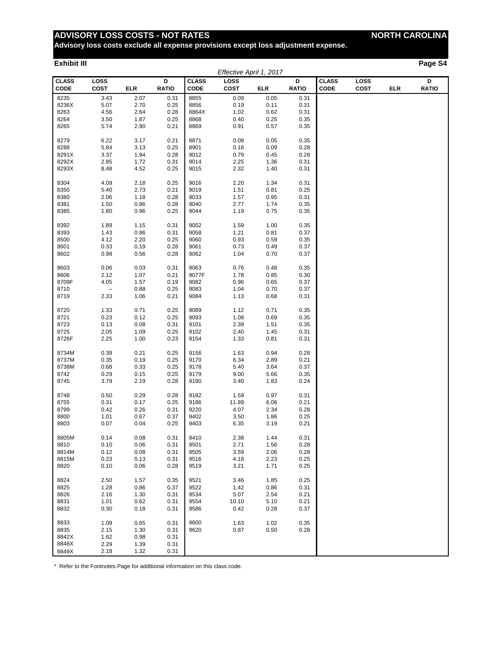**Advisory loss costs exclude all expense provisions except loss adjustment expense.**

#### **Exhibit III Page S4**

|                             |                     |              |                   |                             | Effective April 1, 2017 |              |                   |                             |                     |            |                   |
|-----------------------------|---------------------|--------------|-------------------|-----------------------------|-------------------------|--------------|-------------------|-----------------------------|---------------------|------------|-------------------|
| <b>CLASS</b><br><b>CODE</b> | LOSS<br><b>COST</b> | ELR          | D<br><b>RATIO</b> | <b>CLASS</b><br><b>CODE</b> | LOSS<br>COST            | ELR          | D<br><b>RATIO</b> | <b>CLASS</b><br><b>CODE</b> | LOSS<br><b>COST</b> | <b>ELR</b> | D<br><b>RATIO</b> |
| 8235                        | 3.43                | 2.07         | 0.31              | 8855                        | 0.09                    | 0.05         | 0.31              |                             |                     |            |                   |
| 8236X                       | 5.07                | 2.70         | 0.25              | 8856                        | 0.19                    | 0.11         | 0.31              |                             |                     |            |                   |
| 8263                        | 4.56                | 2.64         | 0.28              | 8864X                       | 1.02                    | 0.62         | 0.31              |                             |                     |            |                   |
| 8264                        | 3.50                | 1.87         | 0.25              | 8868                        | 0.40                    | 0.25         | 0.35              |                             |                     |            |                   |
| 8265                        | 5.74                | 2.90         | 0.21              | 8869                        | 0.91                    | 0.57         | 0.35              |                             |                     |            |                   |
| 8279                        | 6.22                | 3.17         | 0.21              | 8871                        | 0.08                    | 0.05         | 0.35              |                             |                     |            |                   |
| 8288                        | 5.84                | 3.13         | 0.25              | 8901                        | 0.16                    | 0.09         | 0.28              |                             |                     |            |                   |
| 8291X                       | 3.37                | 1.94         | 0.28              | 9012                        | 0.79                    | 0.45         | 0.28              |                             |                     |            |                   |
| 8292X                       | 2.85                | 1.72         | 0.31              | 9014                        | 2.25                    | 1.36         | 0.31              |                             |                     |            |                   |
| 8293X                       | 8.48                | 4.52         | 0.25              | 9015                        | 2.32                    | 1.40         | 0.31              |                             |                     |            |                   |
| 8304                        | 4.09                | 2.18         | 0.25              | 9016                        | 2.20                    | 1.34         | 0.31              |                             |                     |            |                   |
| 8350                        | 5.40                | 2.73         | 0.21              | 9019                        | 1.51                    | 0.81         | 0.25              |                             |                     |            |                   |
| 8380                        | 2.06                | 1.18         | 0.28              | 9033                        | 1.57                    | 0.95         | 0.31              |                             |                     |            |                   |
| 8381                        | 1.50                | 0.86         | 0.28              | 9040                        | 2.77                    | 1.74         | 0.35              |                             |                     |            |                   |
| 8385                        | 1.80                | 0.96         | 0.25              | 9044                        | 1.19                    | 0.75         | 0.35              |                             |                     |            |                   |
|                             |                     |              |                   |                             |                         |              |                   |                             |                     |            |                   |
| 8392                        | 1.89                | 1.15         | 0.31              | 9052                        | 1.59                    | 1.00         | 0.35              |                             |                     |            |                   |
| 8393                        | 1.43                | 0.86         | 0.31              | 9058                        | 1.21                    | 0.81         | 0.37              |                             |                     |            |                   |
| 8500                        | 4.12                | 2.20         | 0.25              | 9060                        | 0.93                    | 0.59         | 0.35              |                             |                     |            |                   |
| 8601<br>8602                | 0.33<br>0.98        | 0.19<br>0.56 | 0.28<br>0.28      | 9061<br>9062                | 0.73<br>1.04            | 0.49<br>0.70 | 0.37<br>0.37      |                             |                     |            |                   |
|                             |                     |              |                   |                             |                         |              |                   |                             |                     |            |                   |
| 8603                        | 0.06                | 0.03         | 0.31              | 9063                        | 0.76                    | 0.48         | 0.35              |                             |                     |            |                   |
| 8606                        | 2.12                | 1.07         | 0.21              | 9077F                       | 1.78                    | 0.85         | 0.30              |                             |                     |            |                   |
| 8709F                       | 4.05                | 1.57         | 0.19              | 9082                        | 0.96                    | 0.65         | 0.37              |                             |                     |            |                   |
| 8710                        | $\qquad \qquad -$   | 0.88         | 0.25              | 9083                        | 1.04                    | 0.70         | 0.37              |                             |                     |            |                   |
| 8719                        | 2.33                | 1.06         | 0.21              | 9084                        | 1.13                    | 0.68         | 0.31              |                             |                     |            |                   |
| 8720                        | 1.33                | 0.71         | 0.25              | 9089                        | 1.12                    | 0.71         | 0.35              |                             |                     |            |                   |
| 8721                        | 0.23                | 0.12         | 0.25              | 9093                        | 1.08                    | 0.69         | 0.35              |                             |                     |            |                   |
| 8723                        | 0.13                | 0.08         | 0.31              | 9101                        | 2.39                    | 1.51         | 0.35              |                             |                     |            |                   |
| 8725                        | 2.05                | 1.09         | 0.25              | 9102                        | 2.40                    | 1.45         | 0.31              |                             |                     |            |                   |
| 8726F                       | 2.25                | 1.00         | 0.23              | 9154                        | 1.33                    | 0.81         | 0.31              |                             |                     |            |                   |
| 8734M                       | 0.39                | 0.21         | 0.25              | 9156                        | 1.63                    | 0.94         | 0.28              |                             |                     |            |                   |
| 8737M                       | 0.35                | 0.19         | 0.25              | 9170                        | 6.34                    | 2.89         | 0.21              |                             |                     |            |                   |
| 8738M                       | 0.68                | 0.33         | 0.25              | 9178                        | 5.40                    | 3.64         | 0.37              |                             |                     |            |                   |
| 8742                        | 0.29                | 0.15         | 0.25              | 9179                        | 9.00                    | 5.66         | 0.35              |                             |                     |            |                   |
| 8745                        | 3.79                | 2.19         | 0.28              | 9180                        | 3.40                    | 1.83         | 0.24              |                             |                     |            |                   |
| 8748                        | 0.50                | 0.29         | 0.28              | 9182                        | 1.59                    | 0.97         | 0.31              |                             |                     |            |                   |
| 8755                        | 0.31                | 0.17         | 0.25              | 9186                        | 11.89                   | 6.06         | 0.21              |                             |                     |            |                   |
| 8799                        | 0.42                | 0.26         | 0.31              | 9220                        | 4.07                    | 2.34         | 0.28              |                             |                     |            |                   |
| 8800                        | 1.01                | 0.67         | 0.37              | 9402                        | 3.50                    | 1.86         | 0.25              |                             |                     |            |                   |
| 8803                        | 0.07                | 0.04         | 0.25              | 9403                        | 6.35                    | 3.19         | 0.21              |                             |                     |            |                   |
| 8805M                       | 0.14                | 0.08         | 0.31              | 9410                        | 2.38                    | 1.44         | 0.31              |                             |                     |            |                   |
| 8810                        | 0.10                | 0.06         | 0.31              | 9501                        | 2.71                    | 1.56         | 0.28              |                             |                     |            |                   |
| 8814M                       | 0.12                | 0.08         | 0.31              | 9505                        | 3.59                    | 2.06         | 0.28              |                             |                     |            |                   |
| 8815M                       | 0.23                | 0.13         | 0.31              | 9516                        | 4.18                    | 2.23         | 0.25              |                             |                     |            |                   |
| 8820                        | 0.10                | 0.06         | 0.28              | 9519                        | 3.21                    | 1.71         | 0.25              |                             |                     |            |                   |
| 8824                        | 2.50                | 1.57         | 0.35              | 9521                        | 3.46                    | 1.85         | 0.25              |                             |                     |            |                   |
| 8825                        | 1.28                | 0.86         | 0.37              | 9522                        | 1.42                    | 0.86         | 0.31              |                             |                     |            |                   |
| 8826                        | 2.16                | 1.30         | 0.31              | 9534                        | 5.07                    | 2.54         | 0.21              |                             |                     |            |                   |
| 8831                        | 1.01                | 0.62         | 0.31              | 9554                        | 10.10                   | 5.10         | 0.21              |                             |                     |            |                   |
| 8832                        | 0.30                | 0.18         | 0.31              | 9586                        | 0.42                    | 0.28         | 0.37              |                             |                     |            |                   |
| 8833                        | 1.09                | 0.65         | 0.31              | 9600                        | 1.63                    | 1.02         | 0.35              |                             |                     |            |                   |
| 8835                        | 2.15                | 1.30         | 0.31              | 9620                        | 0.87                    | 0.50         | 0.28              |                             |                     |            |                   |
| 8842X                       | 1.62                | 0.98         | 0.31              |                             |                         |              |                   |                             |                     |            |                   |
| 8848X                       | 2.29                | 1.39         | 0.31              |                             |                         |              |                   |                             |                     |            |                   |
| 8849X                       | 2.18                | 1.32         | 0.31              |                             |                         |              |                   |                             |                     |            |                   |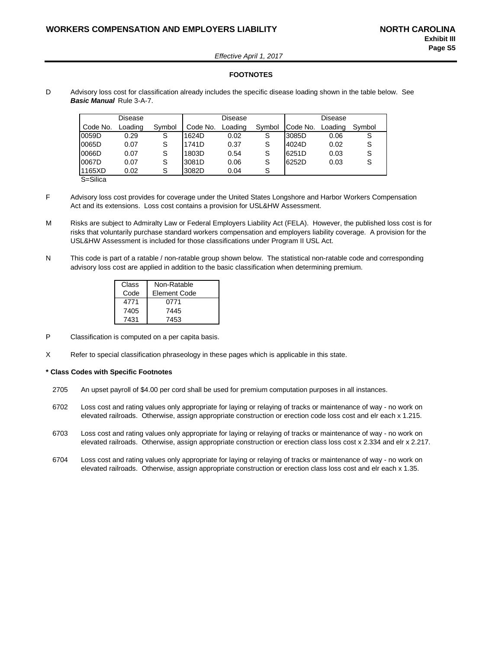*Effective April 1, 2017*

#### **FOOTNOTES**

D Advisory loss cost for classification already includes the specific disease loading shown in the table below. See *Basic Manual* Rule 3-A-7.

|          | Disease |        |          | Disease |        | Disease  |         |        |  |
|----------|---------|--------|----------|---------|--------|----------|---------|--------|--|
| Code No. | Loading | Symbol | Code No. | Loading | Symbol | Code No. | Loading | Symbol |  |
| 0059D    | 0.29    | S      | 1624D    | 0.02    | S      | 3085D    | 0.06    | S      |  |
| 0065D    | 0.07    | S      | 1741D    | 0.37    | S      | 4024D    | 0.02    | S      |  |
| 0066D    | 0.07    | S      | 1803D    | 0.54    | S      | 6251D    | 0.03    | S      |  |
| 0067D    | 0.07    | S      | 3081D    | 0.06    | S      | 6252D    | 0.03    | S      |  |
| 1165XD   | 0.02    | S      | 3082D    | 0.04    | S      |          |         |        |  |

S=Silica

- F Advisory loss cost provides for coverage under the United States Longshore and Harbor Workers Compensation Act and its extensions. Loss cost contains a provision for USL&HW Assessment.
- M Risks are subject to Admiralty Law or Federal Employers Liability Act (FELA). However, the published loss cost is for risks that voluntarily purchase standard workers compensation and employers liability coverage. A provision for the USL&HW Assessment is included for those classifications under Program II USL Act.
- N This code is part of a ratable / non-ratable group shown below. The statistical non-ratable code and corresponding advisory loss cost are applied in addition to the basic classification when determining premium.

| Class | Non-Ratable  |
|-------|--------------|
| Code  | Element Code |
| 4771  | 0771         |
| 7405  | 7445         |
| 7431  | 7453         |

- P Classification is computed on a per capita basis.
- X Refer to special classification phraseology in these pages which is applicable in this state.

#### **\* Class Codes with Specific Footnotes**

- 2705 An upset payroll of \$4.00 per cord shall be used for premium computation purposes in all instances.
- 6702 Loss cost and rating values only appropriate for laying or relaying of tracks or maintenance of way no work on elevated railroads. Otherwise, assign appropriate construction or erection code loss cost and elr each x 1.215.
- 6703 Loss cost and rating values only appropriate for laying or relaying of tracks or maintenance of way no work on elevated railroads. Otherwise, assign appropriate construction or erection class loss cost x 2.334 and elr x 2.217.
- 6704 Loss cost and rating values only appropriate for laying or relaying of tracks or maintenance of way no work on elevated railroads. Otherwise, assign appropriate construction or erection class loss cost and elr each x 1.35.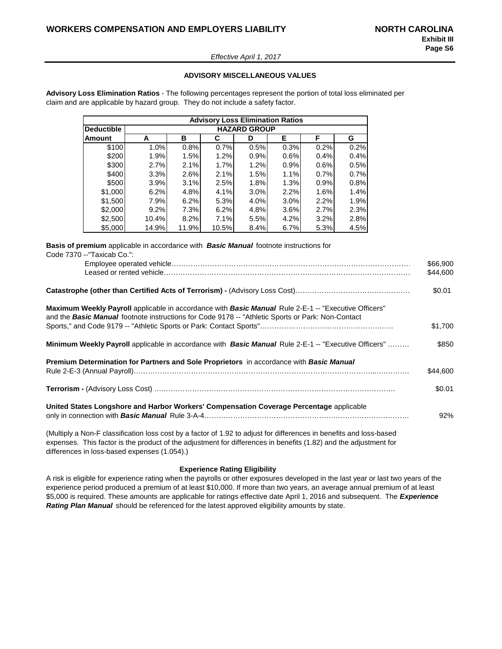#### *Effective April 1, 2017*

#### **ADVISORY MISCELLANEOUS VALUES**

**Advisory Loss Elimination Ratios** - The following percentages represent the portion of total loss eliminated per claim and are applicable by hazard group. They do not include a safety factor.

|                   |                     |       | <b>Advisory Loss Elimination Ratios</b> |      |      |      |      |  |  |  |  |
|-------------------|---------------------|-------|-----------------------------------------|------|------|------|------|--|--|--|--|
| <b>Deductible</b> | <b>HAZARD GROUP</b> |       |                                         |      |      |      |      |  |  |  |  |
| Amount            | A                   | в     | C                                       | D    | Е    | F    | G    |  |  |  |  |
| \$100             | 1.0%                | 0.8%  | 0.7%                                    | 0.5% | 0.3% | 0.2% | 0.2% |  |  |  |  |
| \$200             | 1.9%                | 1.5%  | 1.2%                                    | 0.9% | 0.6% | 0.4% | 0.4% |  |  |  |  |
| \$300             | 2.7%                | 2.1%  | 1.7%                                    | 1.2% | 0.9% | 0.6% | 0.5% |  |  |  |  |
| \$400             | 3.3%                | 2.6%  | 2.1%                                    | 1.5% | 1.1% | 0.7% | 0.7% |  |  |  |  |
| \$500             | 3.9%                | 3.1%  | 2.5%                                    | 1.8% | 1.3% | 0.9% | 0.8% |  |  |  |  |
| \$1,000           | 6.2%                | 4.8%  | 4.1%                                    | 3.0% | 2.2% | 1.6% | 1.4% |  |  |  |  |
| \$1,500           | 7.9%                | 6.2%  | 5.3%                                    | 4.0% | 3.0% | 2.2% | 1.9% |  |  |  |  |
| \$2,000           | 9.2%                | 7.3%  | 6.2%                                    | 4.8% | 3.6% | 2.7% | 2.3% |  |  |  |  |
| \$2,500           | 10.4%               | 8.2%  | 7.1%                                    | 5.5% | 4.2% | 3.2% | 2.8% |  |  |  |  |
| \$5,000           | 14.9%               | 11.9% | 10.5%                                   | 8.4% | 6.7% | 5.3% | 4.5% |  |  |  |  |

**Basis of premium** applicable in accordance with *Basic Manual* footnote instructions for Code 7370 --"Taxicab Co.":

|                                                                                                                                                                                                                  | \$66,900<br>\$44,600 |
|------------------------------------------------------------------------------------------------------------------------------------------------------------------------------------------------------------------|----------------------|
|                                                                                                                                                                                                                  | \$0.01               |
| Maximum Weekly Payroll applicable in accordance with Basic Manual Rule 2-E-1 -- "Executive Officers"<br>and the <b>Basic Manual</b> footnote instructions for Code 9178 -- "Athletic Sports or Park: Non-Contact |                      |
|                                                                                                                                                                                                                  | \$1,700              |
| <b>Minimum Weekly Payroll</b> applicable in accordance with <b>Basic Manual</b> Rule 2-E-1 -- "Executive Officers"                                                                                               | \$850                |
| <b>Premium Determination for Partners and Sole Proprietors</b> in accordance with <b>Basic Manual</b>                                                                                                            | \$44,600             |
|                                                                                                                                                                                                                  | \$0.01               |
| United States Longshore and Harbor Workers' Compensation Coverage Percentage applicable                                                                                                                          | 92%                  |
| (Multiply a Non-F classification loss cost by a factor of 1.92 to adjust for differences in benefits and loss-based                                                                                              |                      |

expenses. This factor is the product of the adjustment for differences in benefits (1.82) and the adjustment for differences in loss-based expenses (1.054).)

#### **Experience Rating Eligibility**

A risk is eligible for experience rating when the payrolls or other exposures developed in the last year or last two years of the experience period produced a premium of at least \$10,000. If more than two years, an average annual premium of at least \$5,000 is required. These amounts are applicable for ratings effective date April 1, 2016 and subsequent. The *Experience Rating Plan Manual* should be referenced for the latest approved eligibility amounts by state.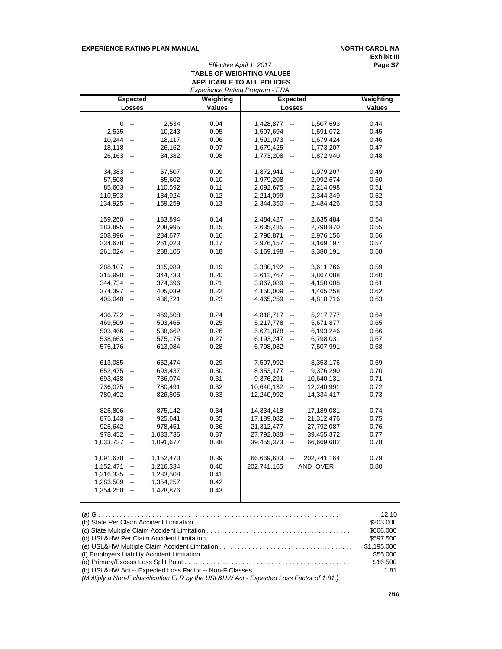## **EXPERIENCE RATING PLAN MANUAL <b>NORTH CAROLINA**

**Exhibit III**

# *Effective April 1, 2017* **Page S7 TABLE OF WEIGHTING VALUES APPLICABLE TO ALL POLICIES**

|           | Experience Rating Program - ERA |           |               |                                        |             |               |  |  |  |  |
|-----------|---------------------------------|-----------|---------------|----------------------------------------|-------------|---------------|--|--|--|--|
|           | <b>Expected</b>                 |           | Weighting     | <b>Expected</b>                        |             | Weighting     |  |  |  |  |
|           | <b>Losses</b>                   |           | <b>Values</b> | <b>Losses</b>                          |             | <b>Values</b> |  |  |  |  |
|           |                                 |           |               |                                        |             |               |  |  |  |  |
| 0         | $\mathbb{H}^{\mathbb{Z}}$       | 2,534     | 0.04          | 1,428,877<br>$\overline{\phantom{a}}$  | 1,507,693   | 0.44          |  |  |  |  |
| 2,535     | $\bar{\phantom{a}}$             | 10,243    | 0.05          | 1,507,694<br>$\overline{\phantom{a}}$  | 1,591,072   | 0.45          |  |  |  |  |
| 10,244    | $\overline{\phantom{a}}$        | 18,117    | 0.06          | 1,591,073<br>$\overline{\phantom{a}}$  | 1,679,424   | 0.46          |  |  |  |  |
| 18,118    | $\overline{\phantom{a}}$        | 26,162    | 0.07          | 1,679,425<br>$\overline{\phantom{a}}$  | 1,773,207   | 0.47          |  |  |  |  |
| 26,163    | $\overline{\phantom{a}}$        | 34,382    | 0.08          | 1,773,208<br>$\mathbb{L}^{\mathbb{L}}$ | 1,872,940   | 0.48          |  |  |  |  |
|           |                                 |           |               |                                        |             |               |  |  |  |  |
| 34,383    | $\overline{\phantom{a}}$        | 57,507    | 0.09          | 1,872,941<br>--                        | 1,979,207   | 0.49          |  |  |  |  |
| 57,508    | $\overline{\phantom{a}}$        | 85,602    | 0.10          | 1,979,208<br>$\overline{\phantom{a}}$  | 2,092,674   | 0.50          |  |  |  |  |
| 85,603    | $\overline{\phantom{a}}$        | 110,592   | 0.11          | 2,092,675<br>$\overline{\phantom{a}}$  | 2,214,098   | 0.51          |  |  |  |  |
| 110,593   | $\overline{\phantom{a}}$        | 134,924   | 0.12          | 2,214,099<br>$\mathbb{L}^2$            | 2,344,349   | 0.52          |  |  |  |  |
| 134,925   | $\overline{\phantom{a}}$        | 159,259   | 0.13          | 2,344,350<br>$\overline{\phantom{a}}$  | 2,484,426   | 0.53          |  |  |  |  |
|           |                                 |           |               |                                        |             |               |  |  |  |  |
| 159,260   | $\overline{\phantom{a}}$        | 183,894   | 0.14          | 2,484,427<br>--                        | 2,635,484   | 0.54          |  |  |  |  |
| 183,895   | $\overline{\phantom{a}}$        | 208,995   | 0.15          | 2,635,485<br>--                        | 2,798,870   | 0.55          |  |  |  |  |
| 208,996   | $\overline{\phantom{a}}$        | 234,677   | 0.16          | 2,798,871<br>--                        | 2,976,156   | 0.56          |  |  |  |  |
| 234,678   | $\overline{\phantom{a}}$        | 261,023   | 0.17          | 2,976,157<br>$\overline{\phantom{a}}$  | 3,169,197   | 0.57          |  |  |  |  |
| 261,024   | $\overline{\phantom{a}}$        | 288,106   | 0.18          | 3,169,198<br>$\overline{\phantom{a}}$  | 3,380,191   | 0.58          |  |  |  |  |
|           |                                 |           |               |                                        |             |               |  |  |  |  |
| 288,107   | $\mathbb{L}^{\mathbb{L}}$       | 315,989   | 0.19          | 3,380,192<br>$\overline{\phantom{a}}$  | 3,611,766   | 0.59          |  |  |  |  |
| 315,990   | $\overline{\phantom{a}}$        | 344,733   | 0.20          | 3,611,767<br>--                        | 3,867,088   | 0.60          |  |  |  |  |
| 344,734   | $\overline{\phantom{a}}$        | 374,396   | 0.21          | 3,867,089<br>--                        | 4,150,008   | 0.61          |  |  |  |  |
| 374,397   | $\overline{\phantom{a}}$        | 405,039   | 0.22          | 4,150,009<br>$\overline{a}$            | 4,465,258   | 0.62          |  |  |  |  |
| 405,040   | $\overline{\phantom{a}}$        | 436,721   | 0.23          | 4,465,259<br>$\overline{\phantom{a}}$  | 4,818,716   | 0.63          |  |  |  |  |
|           |                                 |           |               |                                        |             |               |  |  |  |  |
| 436,722   | $\overline{\phantom{a}}$        | 469,508   | 0.24          | 4,818,717<br>$\overline{\phantom{a}}$  | 5,217,777   | 0.64          |  |  |  |  |
| 469,509   | $\overline{\phantom{a}}$        | 503,465   | 0.25          | 5,217,778<br>$\overline{\phantom{a}}$  | 5,671,877   | 0.65          |  |  |  |  |
| 503,466   | $\overline{\phantom{a}}$        | 538,662   | 0.26          | 5,671,878<br>$\overline{\phantom{a}}$  | 6,193,246   | 0.66          |  |  |  |  |
| 538,663   | $\overline{\phantom{a}}$        | 575,175   | 0.27          | 6,193,247<br>$\overline{\phantom{a}}$  | 6,798,031   | 0.67          |  |  |  |  |
| 575,176   | $\overline{\phantom{a}}$        | 613,084   | 0.28          | 6,798,032<br>$\overline{\phantom{a}}$  | 7,507,991   | 0.68          |  |  |  |  |
|           |                                 |           |               |                                        |             |               |  |  |  |  |
| 613,085   | $\overline{\phantom{a}}$        | 652,474   | 0.29          | 7,507,992<br>--                        | 8,353,176   | 0.69          |  |  |  |  |
| 652,475   | $\overline{\phantom{a}}$        | 693,437   | 0.30          | 8,353,177<br>$\overline{a}$            | 9,376,290   | 0.70          |  |  |  |  |
| 693,438   | $\overline{\phantom{a}}$        | 736,074   | 0.31          | 9,376,291<br>$\overline{\phantom{a}}$  | 10,640,131  | 0.71          |  |  |  |  |
| 736,075   | $\overline{\phantom{a}}$        | 780,491   | 0.32          | 10,640,132<br>$\overline{\phantom{a}}$ | 12,240,991  | 0.72          |  |  |  |  |
| 780,492   | $\overline{\phantom{a}}$        | 826,805   | 0.33          | 12,240,992<br>$\overline{\phantom{a}}$ | 14,334,417  | 0.73          |  |  |  |  |
|           |                                 |           |               |                                        |             |               |  |  |  |  |
| 826,806   | $\overline{\phantom{a}}$        | 875,142   | 0.34          | 14,334,418<br>$\overline{\phantom{a}}$ | 17,189,081  | 0.74          |  |  |  |  |
| 875,143   | $\overline{\phantom{a}}$        | 925,641   | 0.35          | 17,189,082<br>$\overline{\phantom{a}}$ | 21,312,476  | 0.75          |  |  |  |  |
| 925,642   | $\overline{\phantom{a}}$        | 978,451   | 0.36          | 21,312,477<br>--                       | 27,792,087  | 0.76          |  |  |  |  |
| 978,452   | $\overline{\phantom{a}}$        | 1,033,736 | 0.37          | 27,792,088<br>$\overline{\phantom{a}}$ | 39,455,372  | 0.77          |  |  |  |  |
| 1,033,737 | $\overline{\phantom{a}}$        | 1,091,677 | 0.38          | 39,455,373<br>$\overline{\phantom{a}}$ | 66,669,682  | 0.78          |  |  |  |  |
|           |                                 |           |               |                                        |             |               |  |  |  |  |
| 1,091,678 | $\overline{\phantom{a}}$        | 1,152,470 | 0.39          | 66,669,683<br>--                       | 202,741,164 | 0.79          |  |  |  |  |
| 1,152,471 | $\overline{\phantom{a}}$        | 1,216,334 | 0.40          | 202,741,165                            | AND OVER    | 0.80          |  |  |  |  |
| 1,216,335 | $\overline{\phantom{a}}$        | 1,283,508 | 0.41          |                                        |             |               |  |  |  |  |
| 1,283,509 | $\overline{\phantom{a}}$        | 1,354,257 | 0.42          |                                        |             |               |  |  |  |  |
| 1,354,258 | $\overline{\phantom{a}}$        | 1,428,876 | 0.43          |                                        |             |               |  |  |  |  |
|           |                                 |           |               |                                        |             |               |  |  |  |  |

|                                                                                         | 12.10<br>\$303.000<br>\$606,000<br>\$597.500<br>\$1.195.000<br>\$55,000<br>\$16,500<br>1.81 |
|-----------------------------------------------------------------------------------------|---------------------------------------------------------------------------------------------|
| (Multiply a Non-F classification ELR by the USL&HW Act - Expected Loss Factor of 1.81.) |                                                                                             |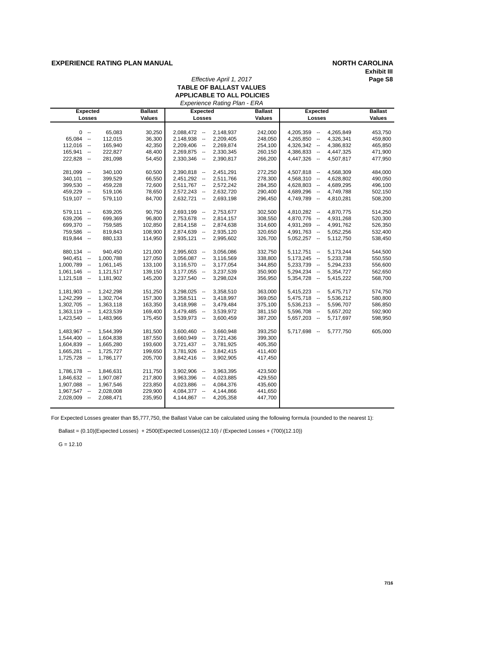#### **EXPERIENCE RATING PLAN MANUAL <b>NORTH CAROLINA**

# **Exhibit III**

*Effective April 1, 2017* **Page S8**

|                             |                | TABLE OF BALLAST VALUES<br><b>APPLICABLE TO ALL POLICIES</b> |                |                            |                |
|-----------------------------|----------------|--------------------------------------------------------------|----------------|----------------------------|----------------|
| <b>Expected</b>             | <b>Ballast</b> | Experience Rating Plan - ERA<br><b>Expected</b>              | <b>Ballast</b> | <b>Expected</b>            | <b>Ballast</b> |
| Losses                      | <b>Values</b>  | Losses                                                       | Values         | Losses                     | Values         |
|                             |                |                                                              |                |                            |                |
| $0 -$<br>65,083             | 30,250         | 2,088,472 --<br>2,148,937                                    | 242,000        | 4,265,849<br>$4,205,359 -$ | 453,750        |
| $65,084 -$<br>112,015       | 36,300         | $2,148,938 -$<br>2,209,405                                   | 248,050        | $4,265,850 -$<br>4,326,341 | 459,800        |
| $112,016 -$<br>165,940      | 42,350         | 2,209,406 --<br>2,269,874                                    | 254,100        | $4,326,342 -$<br>4,386,832 | 465,850        |
| 222,827<br>$165,941 -$      | 48,400         | $2,269,875 -$<br>2,330,345                                   | 260,150        | 4,386,833 --<br>4,447,325  | 471,900        |
| 222,828 --<br>281,098       | 54,450         | $2,330,346 -$<br>2,390,817                                   | 266,200        | 4,447,326 --<br>4,507,817  | 477,950        |
|                             |                |                                                              |                |                            |                |
| 281,099 --<br>340,100       | 60,500         | $2,390,818 -$<br>2,451,291                                   | 272,250        | $4,507,818 -$<br>4,568,309 | 484,000        |
| $340,101 -$<br>399,529      | 66,550         | $2,451,292 -$<br>2,511,766                                   | 278,300        | $4,568,310 -$<br>4,628,802 | 490,050        |
| $399,530 -$<br>459,228      | 72,600         | $2,511,767 -$<br>2,572,242                                   | 284,350        | $4,628,803 -$<br>4,689,295 | 496,100        |
| 459,229 --<br>519,106       | 78,650         | 2,632,720<br>$2,572,243 -$                                   | 290,400        | 4,689,296 --<br>4,749,788  | 502,150        |
| $519,107 -$<br>579,110      | 84,700         | $2,632,721 -$<br>2,693,198                                   | 296,450        | 4,749,789 --<br>4,810,281  | 508,200        |
| 639,205<br>$579,111 -$      | 90,750         | $2,693,199 -$<br>2,753,677                                   | 302,500        | $4,810,282 -$<br>4,870,775 | 514,250        |
| $639,206 -$<br>699,369      | 96,800         | $2,753,678 -$<br>2,814,157                                   | 308,550        | $4,870,776 -$<br>4,931,268 | 520,300        |
| 699,370 --<br>759,585       | 102.850        | $2,814,158 -$<br>2,874,638                                   | 314,600        | 4,931,269 --<br>4,991,762  | 526,350        |
| 759,586 --<br>819,843       | 108,900        | 2,874,639 --<br>2,935,120                                    | 320,650        | 4,991,763 --<br>5,052,256  | 532,400        |
| $819,844 -$<br>880,133      | 114,950        | $2,935,121 -$<br>2,995,602                                   | 326,700        | $5,052,257 -$<br>5,112,750 | 538,450        |
|                             |                |                                                              |                |                            |                |
| $880,134 -$<br>940,450      | 121,000        | $2,995,603 -$<br>3,056,086                                   | 332,750        | $5,112,751 -$<br>5,173,244 | 544,500        |
| $940,451 -$<br>1,000,788    | 127,050        | $3,056,087 -$<br>3,116,569                                   | 338,800        | $5,173,245 -$<br>5,233,738 | 550,550        |
| $1,000,789 -$<br>1,061,145  | 133,100        | $3,116,570 -$<br>3,177,054                                   | 344,850        | 5,233,739 --<br>5,294,233  | 556,600        |
| $1,061,146 -$<br>1,121,517  | 139,150        | $3,177,055 -$<br>3,237,539                                   | 350,900        | $5,294,234 -$<br>5,354,727 | 562,650        |
| $1,121,518 -$<br>1,181,902  | 145,200        | $3,237,540 -$<br>3,298,024                                   | 356,950        | $5,354,728 -$<br>5,415,222 | 568,700        |
| $1,181,903 -$<br>1,242,298  | 151,250        | $3,298,025 -$<br>3,358,510                                   | 363,000        | $5,415,223 -$<br>5,475,717 | 574,750        |
| $1,242,299 -$<br>1,302,704  | 157,300        | $3.358.511 -$<br>3,418,997                                   | 369,050        | $5,475,718 -$<br>5,536,212 | 580,800        |
| $1,302,705 -$<br>1,363,118  | 163,350        | $3,418,998 -$<br>3,479,484                                   | 375,100        | $5,536,213 -$<br>5,596,707 | 586,850        |
| $1,363,119 -$<br>1,423,539  | 169,400        | $3,479,485 -$<br>3,539,972                                   | 381,150        | 5,596,708 --<br>5,657,202  | 592,900        |
| $1,423,540 -$<br>1,483,966  | 175,450        | $3,539,973 -$<br>3,600,459                                   | 387,200        | $5,657,203 -$<br>5,717,697 | 598,950        |
|                             |                |                                                              |                |                            |                |
| $1,483,967 -$<br>1,544,399  | 181,500        | $3,600,460 -$<br>3,660,948                                   | 393,250        | 5,717,698 --<br>5,777,750  | 605,000        |
| $1,544,400 -$<br>1,604,838  | 187,550        | 3,721,436<br>$3,660,949 -$                                   | 399,300        |                            |                |
| $1,604,839 -$<br>1,665,280  | 193,600        | $3,721,437 -$<br>3,781,925                                   | 405,350        |                            |                |
| $1,665,281 -$<br>1,725,727  | 199,650        | $3,781,926 -$<br>3,842,415                                   | 411,400        |                            |                |
| $1,725,728 -$<br>1,786,177  | 205,700        | $3,842,416 -$<br>3,902,905                                   | 417,450        |                            |                |
| $1,786,178 -$<br>1,846,631  | 211,750        | 3,902,906 --<br>3,963,395                                    | 423,500        |                            |                |
| $1,846,632 -$<br>1,907,087  | 217,800        | $3,963,396 -$<br>4,023,885                                   | 429,550        |                            |                |
| $1,907,088 -$<br>1,967,546  | 223,850        | $4,023,886 -$<br>4,084,376                                   | 435,600        |                            |                |
| $1,967,547 -$<br>2,028,008  | 229,900        | 4,084,377 --<br>4,144,866                                    | 441,650        |                            |                |
| $2,028,009$ --<br>2,088,471 | 235,950        | $4,144,867 -$<br>4,205,358                                   | 447,700        |                            |                |
|                             |                |                                                              |                |                            |                |

For Expected Losses greater than \$5,777,750, the Ballast Value can be calculated using the following formula (rounded to the nearest 1):

Ballast = (0.10)(Expected Losses) + 2500(Expected Losses)(12.10) / (Expected Losses + (700)(12.10))

 $G = 12.10$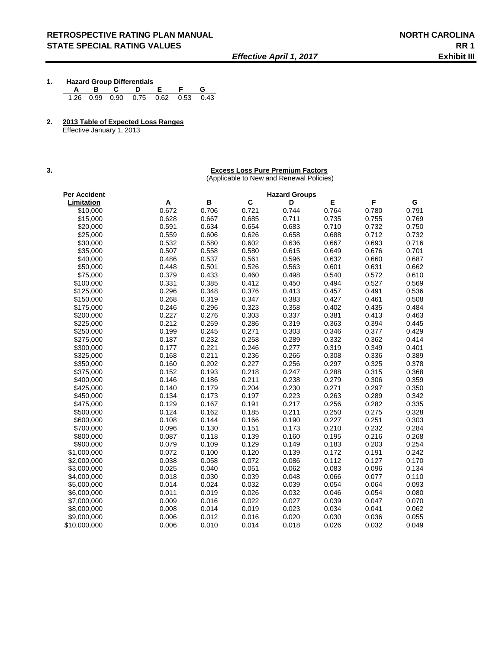- **1. Hazard Group Differentials A B C D E F G**  1.26 0.99 0.90 0.75 0.62 0.53 0.43
- **2. 2013 Table of Expected Loss Ranges**

Effective January 1, 2013

#### **3. Excess Loss Pure Premium Factors**

(Applicable to New and Renewal Policies)

| Per Accident |       |       |       | <b>Hazard Groups</b> |       |       |       |
|--------------|-------|-------|-------|----------------------|-------|-------|-------|
| Limitation   | Α     | B     | C     | D                    | E     | F     | G     |
| \$10,000     | 0.672 | 0.706 | 0.721 | 0.744                | 0.764 | 0.780 | 0.791 |
| \$15,000     | 0.628 | 0.667 | 0.685 | 0.711                | 0.735 | 0.755 | 0.769 |
| \$20,000     | 0.591 | 0.634 | 0.654 | 0.683                | 0.710 | 0.732 | 0.750 |
| \$25,000     | 0.559 | 0.606 | 0.626 | 0.658                | 0.688 | 0.712 | 0.732 |
| \$30,000     | 0.532 | 0.580 | 0.602 | 0.636                | 0.667 | 0.693 | 0.716 |
| \$35,000     | 0.507 | 0.558 | 0.580 | 0.615                | 0.649 | 0.676 | 0.701 |
| \$40,000     | 0.486 | 0.537 | 0.561 | 0.596                | 0.632 | 0.660 | 0.687 |
| \$50,000     | 0.448 | 0.501 | 0.526 | 0.563                | 0.601 | 0.631 | 0.662 |
| \$75,000     | 0.379 | 0.433 | 0.460 | 0.498                | 0.540 | 0.572 | 0.610 |
| \$100,000    | 0.331 | 0.385 | 0.412 | 0.450                | 0.494 | 0.527 | 0.569 |
| \$125,000    | 0.296 | 0.348 | 0.376 | 0.413                | 0.457 | 0.491 | 0.536 |
| \$150,000    | 0.268 | 0.319 | 0.347 | 0.383                | 0.427 | 0.461 | 0.508 |
| \$175,000    | 0.246 | 0.296 | 0.323 | 0.358                | 0.402 | 0.435 | 0.484 |
| \$200,000    | 0.227 | 0.276 | 0.303 | 0.337                | 0.381 | 0.413 | 0.463 |
| \$225,000    | 0.212 | 0.259 | 0.286 | 0.319                | 0.363 | 0.394 | 0.445 |
| \$250,000    | 0.199 | 0.245 | 0.271 | 0.303                | 0.346 | 0.377 | 0.429 |
| \$275,000    | 0.187 | 0.232 | 0.258 | 0.289                | 0.332 | 0.362 | 0.414 |
| \$300,000    | 0.177 | 0.221 | 0.246 | 0.277                | 0.319 | 0.349 | 0.401 |
| \$325,000    | 0.168 | 0.211 | 0.236 | 0.266                | 0.308 | 0.336 | 0.389 |
| \$350,000    | 0.160 | 0.202 | 0.227 | 0.256                | 0.297 | 0.325 | 0.378 |
| \$375,000    | 0.152 | 0.193 | 0.218 | 0.247                | 0.288 | 0.315 | 0.368 |
| \$400,000    | 0.146 | 0.186 | 0.211 | 0.238                | 0.279 | 0.306 | 0.359 |
| \$425,000    | 0.140 | 0.179 | 0.204 | 0.230                | 0.271 | 0.297 | 0.350 |
| \$450,000    | 0.134 | 0.173 | 0.197 | 0.223                | 0.263 | 0.289 | 0.342 |
| \$475,000    | 0.129 | 0.167 | 0.191 | 0.217                | 0.256 | 0.282 | 0.335 |
| \$500,000    | 0.124 | 0.162 | 0.185 | 0.211                | 0.250 | 0.275 | 0.328 |
| \$600,000    | 0.108 | 0.144 | 0.166 | 0.190                | 0.227 | 0.251 | 0.303 |
| \$700.000    | 0.096 | 0.130 | 0.151 | 0.173                | 0.210 | 0.232 | 0.284 |
| \$800,000    | 0.087 | 0.118 | 0.139 | 0.160                | 0.195 | 0.216 | 0.268 |
| \$900,000    | 0.079 | 0.109 | 0.129 | 0.149                | 0.183 | 0.203 | 0.254 |
| \$1,000,000  | 0.072 | 0.100 | 0.120 | 0.139                | 0.172 | 0.191 | 0.242 |
| \$2,000,000  | 0.038 | 0.058 | 0.072 | 0.086                | 0.112 | 0.127 | 0.170 |
| \$3,000,000  | 0.025 | 0.040 | 0.051 | 0.062                | 0.083 | 0.096 | 0.134 |
| \$4,000,000  | 0.018 | 0.030 | 0.039 | 0.048                | 0.066 | 0.077 | 0.110 |
| \$5,000,000  | 0.014 | 0.024 | 0.032 | 0.039                | 0.054 | 0.064 | 0.093 |
| \$6,000,000  | 0.011 | 0.019 | 0.026 | 0.032                | 0.046 | 0.054 | 0.080 |
| \$7,000,000  | 0.009 | 0.016 | 0.022 | 0.027                | 0.039 | 0.047 | 0.070 |
| \$8,000,000  | 0.008 | 0.014 | 0.019 | 0.023                | 0.034 | 0.041 | 0.062 |
| \$9,000,000  | 0.006 | 0.012 | 0.016 | 0.020                | 0.030 | 0.036 | 0.055 |
| \$10,000,000 | 0.006 | 0.010 | 0.014 | 0.018                | 0.026 | 0.032 | 0.049 |